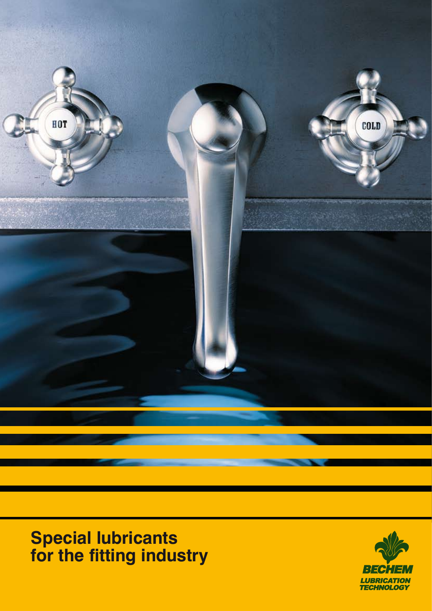

**Special lubricants for the fitting industry**

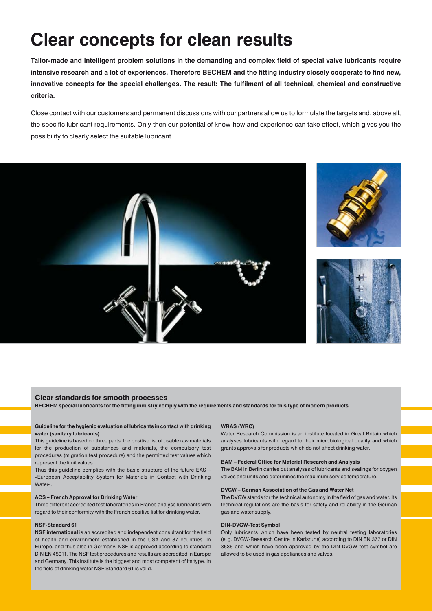## **Clear concepts for clean results**

**Tailor-made and intelligent problem solutions in the demanding and complex field of special valve lubricants require intensive research and a lot of experiences. Therefore BECHEM and the fitting industry closely cooperate to find new, innovative concepts for the special challenges. The result: The fulfilment of all technical, chemical and constructive criteria.**

Close contact with our customers and permanent discussions with our partners allow us to formulate the targets and, above all, the specific lubricant requirements. Only then our potential of know-how and experience can take effect, which gives you the possibility to clearly select the suitable lubricant.



#### **Clear standards for smooth processes**

**BECHEM special lubricants for the fitting industry comply with the requirements and standards for this type of modern products.**

#### **Guideline for the hygienic evaluation of lubricants in contact with drinking water (sanitary lubricants)**

This guideline is based on three parts: the positive list of usable raw materials for the production of substances and materials, the compulsory test procedures (migration test procedure) and the permitted test values which represent the limit values.

Thus this guideline complies with the basic structure of the future EAS – »European Acceptability System for Materials in Contact with Drinking Water«.

#### **ACS – French Approval for Drinking Water**

Three different accredited test laboratories in France analyse lubricants with regard to their conformity with the French positive list for drinking water.

#### **NSF-Standard 61**

**NSF international** is an accredited and independent consultant for the field of health and environment established in the USA and 37 countries. In Europe, and thus also in Germany, NSF is approved according to standard DIN EN 45011. The NSF test procedures and results are accredited in Europe and Germany. This institute is the biggest and most competent of its type. In the field of drinking water NSF Standard 61 is valid.

#### **WRAS (WRC)**

Water Research Commission is an institute located in Great Britain which analyses lubricants with regard to their microbiological quality and which grants approvals for products which do not affect drinking water.

#### **BAM – Federal Office for Material Research and Analysis**

The BAM in Berlin carries out analyses of lubricants and sealings for oxygen valves and units and determines the maximum service temperature.

#### **DVGW – German Association of the Gas and Water Net**

The DVGW stands for the technical autonomy in the field of gas and water. Its technical regulations are the basis for safety and reliability in the German gas and water supply.

#### **DIN-DVGW-Test Symbol**

Only lubricants which have been tested by neutral testing laboratories (e.g. DVGW-Research Centre in Karlsruhe) according to DIN EN 377 or DIN 3536 and which have been approved by the DIN-DVGW test symbol are allowed to be used in gas appliances and valves.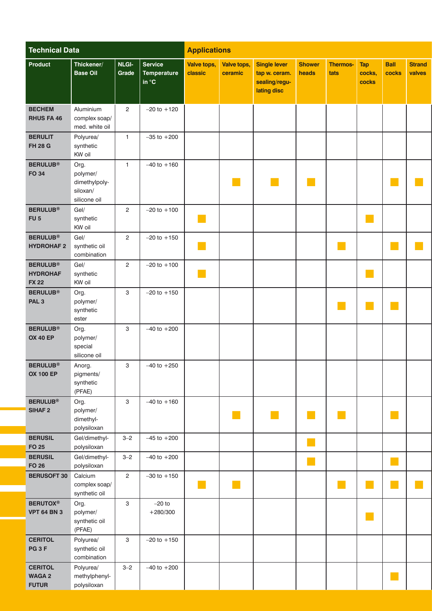| <b>Technical Data</b>                              |                                                               | <b>Applications</b>   |                                           |                             |                        |                                                                      |                        |                             |                               |                            |                             |
|----------------------------------------------------|---------------------------------------------------------------|-----------------------|-------------------------------------------|-----------------------------|------------------------|----------------------------------------------------------------------|------------------------|-----------------------------|-------------------------------|----------------------------|-----------------------------|
| Product                                            | Thickener/<br><b>Base Oil</b>                                 | <b>NLGI-</b><br>Grade | Service<br>Temperature<br>in $^{\circ}$ C | Valve tops,<br>classic      | Valve tops,<br>ceramic | <b>Single lever</b><br>tap w. ceram.<br>sealing/regu-<br>lating disc | <b>Shower</b><br>heads | <b>Thermos-</b><br>tats     | <b>Tap</b><br>cocks,<br>cocks | Ball<br>cocks              | <b>Strand</b><br>valves     |
| <b>BECHEM</b><br>RHUS FA 46                        | Aluminium<br>complex soap/<br>med. white oil                  | $\overline{2}$        | $-20$ to $+120$                           |                             |                        |                                                                      |                        |                             |                               |                            |                             |
| <b>BERULIT</b><br><b>FH 28 G</b>                   | Polyurea/<br>synthetic<br>KW oil                              | $\overline{1}$        | $-35$ to $+200$                           |                             |                        |                                                                      |                        |                             |                               |                            |                             |
| <b>BERULUB®</b><br>FO 34                           | Org.<br>polymer/<br>dimethylpoly-<br>siloxan/<br>silicone oil | $\overline{1}$        | $-40$ to $+160$                           |                             | <b>COL</b>             | $\sim$                                                               | $\mathbb{R}^n$         |                             |                               |                            | $\mathcal{L}_{\mathcal{A}}$ |
| <b>BERULUB®</b><br>FU <sub>5</sub>                 | Gel/<br>synthetic<br>KW oil                                   | $\overline{2}$        | $-20$ to $+100$                           | F.                          |                        |                                                                      |                        |                             | $\mathcal{O}(\mathbb{R})$     |                            |                             |
| <b>BERULUB®</b><br><b>HYDROHAF2</b>                | Gel/<br>synthetic oil<br>combination                          | $\overline{2}$        | $-20$ to $+150$                           | p.                          |                        |                                                                      |                        | $\mathbb{R}^n$              |                               |                            | $\mathbb{R}^n$              |
| <b>BERULUB®</b><br><b>HYDROHAF</b><br><b>FX 22</b> | Gel/<br>synthetic<br>KW oil                                   | $\overline{2}$        | $-20$ to $+100$                           | a a                         |                        |                                                                      |                        |                             | $\mathcal{L}_{\mathcal{A}}$   |                            |                             |
| <b>BERULUB®</b><br>PAL <sub>3</sub>                | Org.<br>polymer/<br>synthetic<br>ester                        | 3                     | $-20$ to $+150$                           |                             |                        |                                                                      |                        | e e                         | $\mathbb{R}^3$                | ×.                         |                             |
| <b>BERULUB®</b><br><b>OX 40 EP</b>                 | Org.<br>polymer/<br>special<br>silicone oil                   | $\mathbf{3}$          | $-40$ to $+200$                           |                             |                        |                                                                      |                        |                             |                               |                            |                             |
| <b>BERULUB®</b><br><b>OX 100 EP</b>                | Anorg.<br>pigments/<br>synthetic<br>(PFAE)                    | $\mathbf{3}$          | $-40$ to $+250$                           |                             |                        |                                                                      |                        |                             |                               |                            |                             |
| <b>BERULUB®</b><br>SIHAF <sub>2</sub>              | Org.<br>polymer/<br>dimethyl-<br>polysiloxan                  | $\mathbf{3}$          | $-40$ to $+160$                           |                             | a a                    | <b>The State</b>                                                     | ana.<br>Manazarta      | p.                          |                               |                            |                             |
| <b>BERUSIL</b><br><b>FO 25</b>                     | Gel/dimethyl-<br>polysiloxan                                  | $3 - 2$               | $-45$ to $+200$                           |                             |                        |                                                                      | $\mathbb{R}^n$         |                             |                               |                            |                             |
| <b>BERUSIL</b><br><b>FO 26</b>                     | Gel/dimethyl-<br>polysiloxan                                  | $3 - 2$               | $-40$ to $+200$                           |                             |                        |                                                                      | У.                     |                             |                               | $\sim$                     |                             |
| <b>BERUSOFT 30</b> Calcium                         | complex soap/<br>synthetic oil                                | $\overline{2}$        | $-30$ to $+150$                           | $\mathcal{C}^{\mathcal{A}}$ | $\mathbb{R}^n$         |                                                                      |                        | $\mathcal{L}^{\mathcal{L}}$ | $\mathcal{O}(\mathbb{R}^d)$   | $\mathcal{L}^{\text{max}}$ | $\mathcal{L}^{\mathcal{A}}$ |
| <b>BERUTOX®</b><br><b>VPT 64 BN 3</b>              | Org.<br>polymer/<br>synthetic oil<br>(PFAE)                   | $\mathbf{3}$          | $-20$ to<br>$+280/300$                    |                             |                        |                                                                      |                        |                             | $\mathbb{R}^3$                |                            |                             |
| <b>CERITOL</b><br>PG <sub>3F</sub>                 | Polyurea/<br>synthetic oil<br>combination                     | $\mathbf{3}$          | $-20$ to $+150$                           |                             |                        |                                                                      |                        |                             |                               |                            |                             |
| <b>CERITOL</b><br><b>WAGA 2</b><br><b>FUTUR</b>    | Polyurea/<br>methylphenyl-<br>polysiloxan                     | $3 - 2$               | $-40$ to $+200$                           |                             |                        |                                                                      |                        |                             |                               |                            |                             |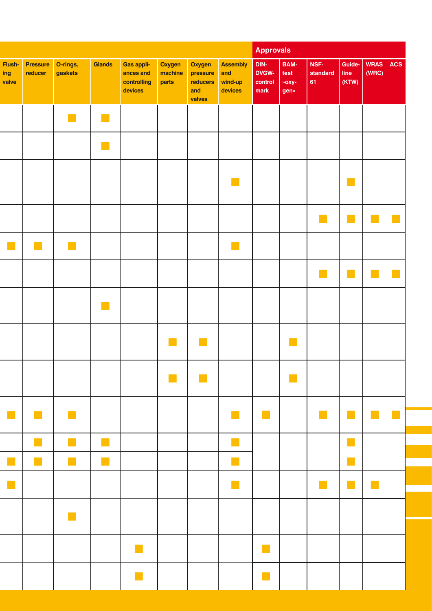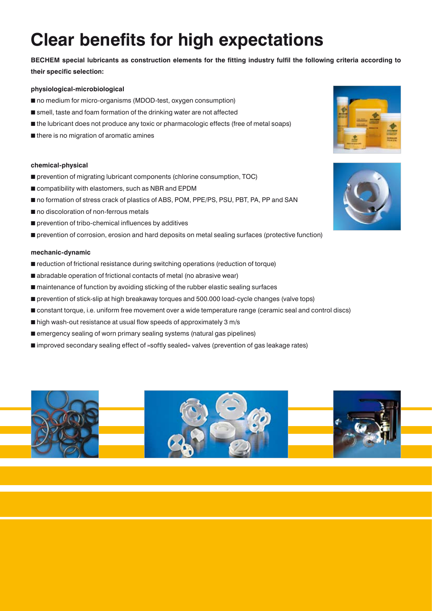# **Clear benefits for high expectations**

**BECHEM special lubricants as construction elements for the fitting industry fulfil the following criteria according to their specific selection:**

## **physiological-microbiological**

- no medium for micro-organisms (MDOD-test, oxygen consumption)
- smell, taste and foam formation of the drinking water are not affected
- the lubricant does not produce any toxic or pharmacologic effects (free of metal soaps)
- there is no migration of aromatic amines

### **chemical-physical**

- prevention of migrating lubricant components (chlorine consumption, TOC)
- compatibility with elastomers, such as NBR and EPDM
- no formation of stress crack of plastics of ABS, POM, PPE/PS, PSU, PBT, PA, PP and SAN
- no discoloration of non-ferrous metals
- prevention of tribo-chemical influences by additives
- prevention of corrosion, erosion and hard deposits on metal sealing surfaces (protective function)

## **mechanic-dynamic**

- reduction of frictional resistance during switching operations (reduction of torque)
- abradable operation of frictional contacts of metal (no abrasive wear)
- maintenance of function by avoiding sticking of the rubber elastic sealing surfaces
- prevention of stick-slip at high breakaway torques and 500.000 load-cycle changes (valve tops)
- constant torque, i.e. uniform free movement over a wide temperature range (ceramic seal and control discs)
- high wash-out resistance at usual flow speeds of approximately 3 m/s
- emergency sealing of worn primary sealing systems (natural gas pipelines)
- improved secondary sealing effect of »softly sealed« valves (prevention of gas leakage rates)